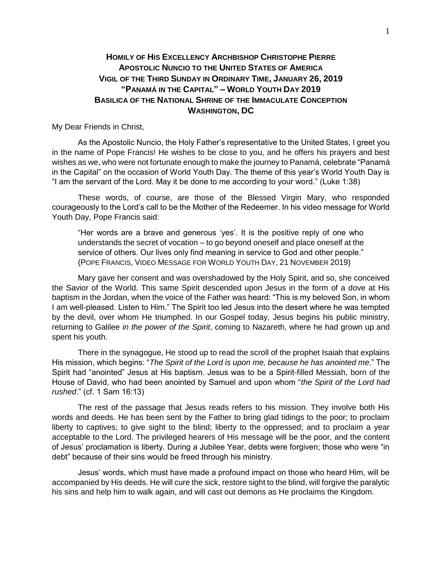## **HOMILY OF HIS EXCELLENCY ARCHBISHOP CHRISTOPHE PIERRE APOSTOLIC NUNCIO TO THE UNITED STATES OF AMERICA VIGIL OF THE THIRD SUNDAY IN ORDINARY TIME, JANUARY 26, 2019 "PANAMÁ IN THE CAPITAL" – WORLD YOUTH DAY 2019 BASILICA OF THE NATIONAL SHRINE OF THE IMMACULATE CONCEPTION WASHINGTON, DC**

My Dear Friends in Christ,

As the Apostolic Nuncio, the Holy Father's representative to the United States, I greet you in the name of Pope Francis! He wishes to be close to you, and he offers his prayers and best wishes as we, who were not fortunate enough to make the journey to Panamá, celebrate "Panamá in the Capital" on the occasion of World Youth Day. The theme of this year's World Youth Day is "I am the servant of the Lord. May it be done to me according to your word." (Luke 1:38)

These words, of course, are those of the Blessed Virgin Mary, who responded courageously to the Lord's call to be the Mother of the Redeemer. In his video message for World Youth Day, Pope Francis said:

"Her words are a brave and generous 'yes'. It is the positive reply of one who understands the secret of vocation – to go beyond oneself and place oneself at the service of others. Our lives only find meaning in service to God and other people." (POPE FRANCIS, VIDEO MESSAGE FOR WORLD YOUTH DAY, 21 NOVEMBER 2019)

Mary gave her consent and was overshadowed by the Holy Spirit, and so, she conceived the Savior of the World. This same Spirit descended upon Jesus in the form of a dove at His baptism in the Jordan, when the voice of the Father was heard: "This is my beloved Son, in whom I am well-pleased. Listen to Him." The Spirit too led Jesus into the desert where he was tempted by the devil, over whom He triumphed. In our Gospel today, Jesus begins his public ministry, returning to Galilee *in the power of the Spirit*, coming to Nazareth, where he had grown up and spent his youth.

There in the synagogue, He stood up to read the scroll of the prophet Isaiah that explains His mission, which begins: "*The Spirit of the Lord is upon me, because he has anointed me*." The Spirit had "anointed" Jesus at His baptism. Jesus was to be a Spirit-filled Messiah, born of the House of David, who had been anointed by Samuel and upon whom "*the Spirit of the Lord had rushed*." (cf. 1 Sam 16:13)

The rest of the passage that Jesus reads refers to his mission. They involve both His words and deeds. He has been sent by the Father to bring glad tidings to the poor; to proclaim liberty to captives; to give sight to the blind; liberty to the oppressed; and to proclaim a year acceptable to the Lord. The privileged hearers of His message will be the poor, and the content of Jesus' proclamation is liberty. During a Jubilee Year, debts were forgiven; those who were "in debt" because of their sins would be freed through his ministry.

Jesus' words, which must have made a profound impact on those who heard Him, will be accompanied by His deeds. He will cure the sick, restore sight to the blind, will forgive the paralytic his sins and help him to walk again, and will cast out demons as He proclaims the Kingdom.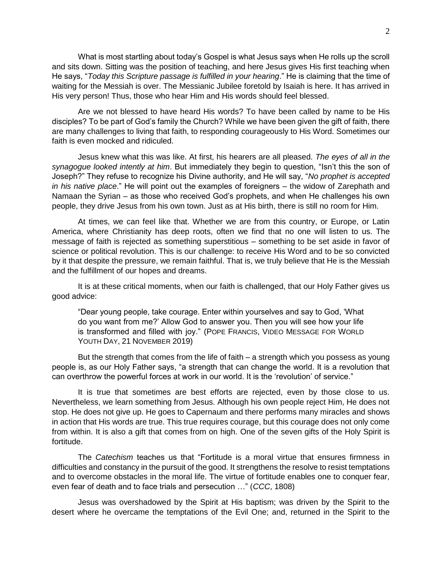What is most startling about today's Gospel is what Jesus says when He rolls up the scroll and sits down. Sitting was the position of teaching, and here Jesus gives His first teaching when He says, "*Today this Scripture passage is fulfilled in your hearing*." He is claiming that the time of waiting for the Messiah is over. The Messianic Jubilee foretold by Isaiah is here. It has arrived in His very person! Thus, those who hear Him and His words should feel blessed.

Are we not blessed to have heard His words? To have been called by name to be His disciples? To be part of God's family the Church? While we have been given the gift of faith, there are many challenges to living that faith, to responding courageously to His Word. Sometimes our faith is even mocked and ridiculed.

Jesus knew what this was like. At first, his hearers are all pleased. *The eyes of all in the synagogue looked intently at him*. But immediately they begin to question, "Isn't this the son of Joseph?" They refuse to recognize his Divine authority, and He will say, "*No prophet is accepted in his native place*." He will point out the examples of foreigners – the widow of Zarephath and Namaan the Syrian – as those who received God's prophets, and when He challenges his own people, they drive Jesus from his own town. Just as at His birth, there is still no room for Him.

At times, we can feel like that. Whether we are from this country, or Europe, or Latin America, where Christianity has deep roots, often we find that no one will listen to us. The message of faith is rejected as something superstitious – something to be set aside in favor of science or political revolution. This is our challenge: to receive His Word and to be so convicted by it that despite the pressure, we remain faithful. That is, we truly believe that He is the Messiah and the fulfillment of our hopes and dreams.

It is at these critical moments, when our faith is challenged, that our Holy Father gives us good advice:

"Dear young people, take courage. Enter within yourselves and say to God, 'What do you want from me?' Allow God to answer you. Then you will see how your life is transformed and filled with joy." (POPE FRANCIS, VIDEO MESSAGE FOR WORLD YOUTH DAY, 21 NOVEMBER 2019)

But the strength that comes from the life of faith – a strength which you possess as young people is, as our Holy Father says, "a strength that can change the world. It is a revolution that can overthrow the powerful forces at work in our world. It is the 'revolution' of service."

It is true that sometimes are best efforts are rejected, even by those close to us. Nevertheless, we learn something from Jesus. Although his own people reject Him, He does not stop. He does not give up. He goes to Capernaum and there performs many miracles and shows in action that His words are true. This true requires courage, but this courage does not only come from within. It is also a gift that comes from on high. One of the seven gifts of the Holy Spirit is fortitude.

The *Catechism* teaches us that "Fortitude is a moral virtue that ensures firmness in difficulties and constancy in the pursuit of the good. It strengthens the resolve to resist temptations and to overcome obstacles in the moral life. The virtue of fortitude enables one to conquer fear, even fear of death and to face trials and persecution …" (*CCC*, 1808)

Jesus was overshadowed by the Spirit at His baptism; was driven by the Spirit to the desert where he overcame the temptations of the Evil One; and, returned in the Spirit to the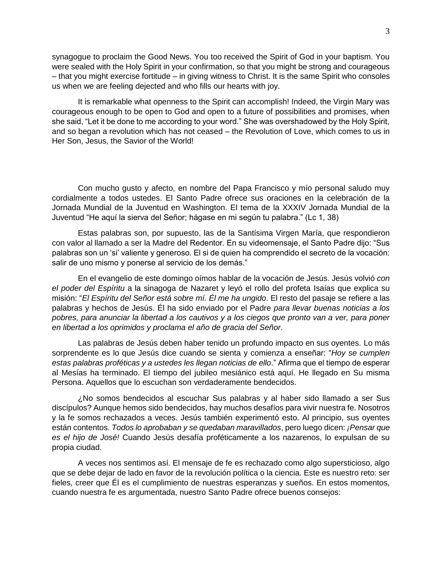synagogue to proclaim the Good News. You too received the Spirit of God in your baptism. You were sealed with the Holy Spirit in your confirmation, so that you might be strong and courageous – that you might exercise fortitude – in giving witness to Christ. It is the same Spirit who consoles us when we are feeling dejected and who fills our hearts with joy.

It is remarkable what openness to the Spirit can accomplish! Indeed, the Virgin Mary was courageous enough to be open to God and open to a future of possibilities and promises, when she said, "Let it be done to me according to your word." She was overshadowed by the Holy Spirit, and so began a revolution which has not ceased – the Revolution of Love, which comes to us in Her Son, Jesus, the Savior of the World!

Con mucho gusto y afecto, en nombre del Papa Francisco y mío personal saludo muy cordialmente a todos ustedes. El Santo Padre ofrece sus oraciones en la celebración de la Jornada Mundial de la Juventud en Washington. El tema de la XXXIV Jornada Mundial de la Juventud "He aquí la sierva del Señor; hágase en mi según tu palabra." (Lc 1, 38)

Estas palabras son, por supuesto, las de la Santísima Virgen María, que respondieron con valor al llamado a ser la Madre del Redentor. En su videomensaje, el Santo Padre dijo: "Sus palabras son un 'si' valiente y generoso. El si de quien ha comprendido el secreto de la vocación: salir de uno mismo y ponerse al servicio de los demás."

En el evangelio de este domingo oímos hablar de la vocación de Jesús. Jesús volvió *con el poder del Espíritu* a la sinagoga de Nazaret y leyó el rollo del profeta Isaías que explica su misión: "*El Espíritu del Señor está sobre mí. Él me ha ungido*. El resto del pasaje se refiere a las palabras y hechos de Jesús. Él ha sido enviado por el Padre *para llevar buenas noticias a los pobres, para anunciar la libertad a los cautivos y a los ciegos que pronto van a ver, para poner en libertad a los oprimidos y proclama el año de gracia del Señor*.

Las palabras de Jesús deben haber tenido un profundo impacto en sus oyentes. Lo más sorprendente es lo que Jesús dice cuando se sienta y comienza a enseñar: "*Hoy se cumplen estas palabras proféticas y a ustedes les llegan noticias de ello*." Afirma que el tiempo de esperar al Mesías ha terminado. El tiempo del jubileo mesiánico está aquí. He llegado en Su misma Persona. Aquellos que lo escuchan son verdaderamente bendecidos.

¿No somos bendecidos al escuchar Sus palabras y al haber sido llamado a ser Sus discípulos? Aunque hemos sido bendecidos, hay muchos desafíos para vivir nuestra fe. Nosotros y la fe somos rechazados a veces. Jesús también experimentó esto. Al principio, sus oyentes están contentos. *Todos lo aprobaban y se quedaban maravillados*, pero luego dicen: *¡Pensar que es el hijo de José!* Cuando Jesús desafía proféticamente a los nazarenos, lo expulsan de su propia ciudad.

A veces nos sentimos así. El mensaje de fe es rechazado como algo supersticioso, algo que se debe dejar de lado en favor de la revolución política o la ciencia. Este es nuestro reto: ser fieles, creer que Él es el cumplimiento de nuestras esperanzas y sueños. En estos momentos, cuando nuestra fe es argumentada, nuestro Santo Padre ofrece buenos consejos: